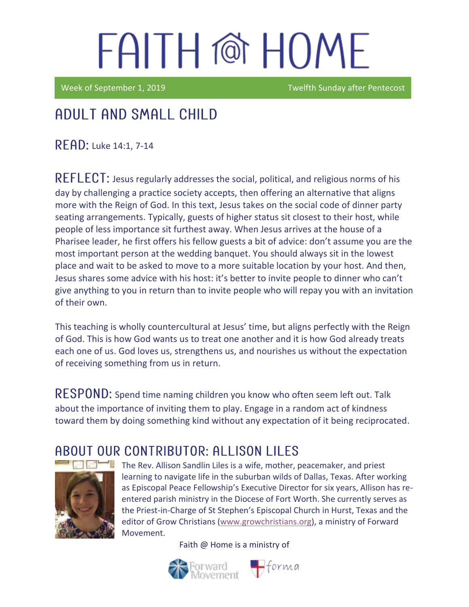Week of September 1, 2019 Twelfth Sunday after Pentecost

### Adult and Small Child

**READ: Luke 14:1, 7-14** 

 $REFLECT$ : Jesus regularly addresses the social, political, and religious norms of his day by challenging a practice society accepts, then offering an alternative that aligns more with the Reign of God. In this text, Jesus takes on the social code of dinner party seating arrangements. Typically, guests of higher status sit closest to their host, while people of less importance sit furthest away. When Jesus arrives at the house of a Pharisee leader, he first offers his fellow guests a bit of advice: don't assume you are the most important person at the wedding banquet. You should always sit in the lowest place and wait to be asked to move to a more suitable location by your host. And then, Jesus shares some advice with his host: it's better to invite people to dinner who can't give anything to you in return than to invite people who will repay you with an invitation of their own.

This teaching is wholly countercultural at Jesus' time, but aligns perfectly with the Reign of God. This is how God wants us to treat one another and it is how God already treats each one of us. God loves us, strengthens us, and nourishes us without the expectation of receiving something from us in return.

RESPOND: Spend time naming children you know who often seem left out. Talk about the importance of inviting them to play. Engage in a random act of kindness toward them by doing something kind without any expectation of it being reciprocated.

### ABOUT OUR CONTRIBUTOR: ALLISON LILES



The Rev. Allison Sandlin Liles is a wife, mother, peacemaker, and priest learning to navigate life in the suburban wilds of Dallas, Texas. After working as [Episcopal Peace Fellowship](http://epfnational.org/)'s Executive Director for six years, Allison has reentered parish ministry in the Diocese of Fort Worth. She currently serves as the Priest-in-Charge of [St Stephen's Episcopal Church](http://ssechurst.org/) in Hurst, Texas and the editor of [Grow Christians](http://growchristians.org/) [\(www.growchristians.org\)](http://www.growchristians.org/), a ministry of Forward Movement.



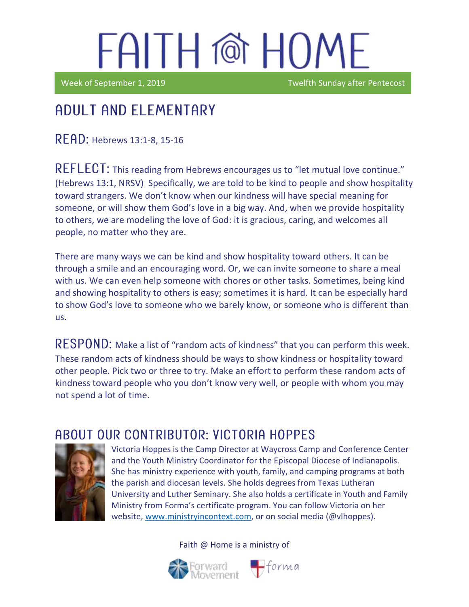Week of September 1, 2019 Twelfth Sunday after Pentecost

## Adult and elementary

 $READ:$  Hebrews 13:1-8, 15-16

REFLECT: This reading from Hebrews encourages us to "let mutual love continue." (Hebrews 13:1, NRSV) Specifically, we are told to be kind to people and show hospitality toward strangers. We don't know when our kindness will have special meaning for someone, or will show them God's love in a big way. And, when we provide hospitality to others, we are modeling the love of God: it is gracious, caring, and welcomes all people, no matter who they are.

There are many ways we can be kind and show hospitality toward others. It can be through a smile and an encouraging word. Or, we can invite someone to share a meal with us. We can even help someone with chores or other tasks. Sometimes, being kind and showing hospitality to others is easy; sometimes it is hard. It can be especially hard to show God's love to someone who we barely know, or someone who is different than us.

 $\mathsf{RESPOND}\text{:}$  Make a list of "random acts of kindness" that you can perform this week. These random acts of kindness should be ways to show kindness or hospitality toward other people. Pick two or three to try. Make an effort to perform these random acts of kindness toward people who you don't know very well, or people with whom you may not spend a lot of time.

### ABOUT OUR CONTRIBUTOR: VICTORIA HOPPES



Victoria Hoppes is the Camp Director at Waycross Camp and Conference Center and the Youth Ministry Coordinator for the Episcopal Diocese of Indianapolis. She has ministry experience with youth, family, and camping programs at both the parish and diocesan levels. She holds degrees from Texas Lutheran University and Luther Seminary. She also holds a certificate in Youth and Family Ministry from Forma's certificate program. You can follow Victoria on her website, [www.ministryincontext.com,](http://www.ministryincontext.com/) or on social media (@vlhoppes).

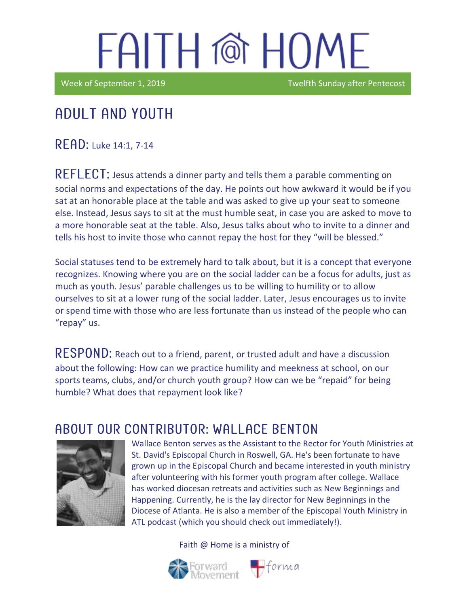Week of September 1, 2019 **TWEEK AND TWEEK SUNDAY A** Twelfth Sunday after Pentecost

#### Adult and youth

READ: Luke 14:1, 7-14

REFLECT: Jesus attends a dinner party and tells them a parable commenting on social norms and expectations of the day. He points out how awkward it would be if you sat at an honorable place at the table and was asked to give up your seat to someone else. Instead, Jesus says to sit at the must humble seat, in case you are asked to move to a more honorable seat at the table. Also, Jesus talks about who to invite to a dinner and tells his host to invite those who cannot repay the host for they "will be blessed."

Social statuses tend to be extremely hard to talk about, but it is a concept that everyone recognizes. Knowing where you are on the social ladder can be a focus for adults, just as much as youth. Jesus' parable challenges us to be willing to humility or to allow ourselves to sit at a lower rung of the social ladder. Later, Jesus encourages us to invite or spend time with those who are less fortunate than us instead of the people who can "repay" us.

RESPOND: Reach out to a friend, parent, or trusted adult and have a discussion about the following: How can we practice humility and meekness at school, on our sports teams, clubs, and/or church youth group? How can we be "repaid" for being humble? What does that repayment look like?

### A BOUT OUR CONTRIBUTOR: WALL ACE BENTON



Wallace Benton serves as the Assistant to the Rector for Youth Ministries at St. David's Episcopal Church in Roswell, GA. He's been fortunate to have grown up in the Episcopal Church and became interested in youth ministry after volunteering with his former youth program after college. Wallace has worked diocesan retreats and activities such as New Beginnings and Happening. Currently, he is the lay director for New Beginnings in the Diocese of Atlanta. He is also a member of the Episcopal Youth Ministry in ATL podcast (which you should check out immediately!).